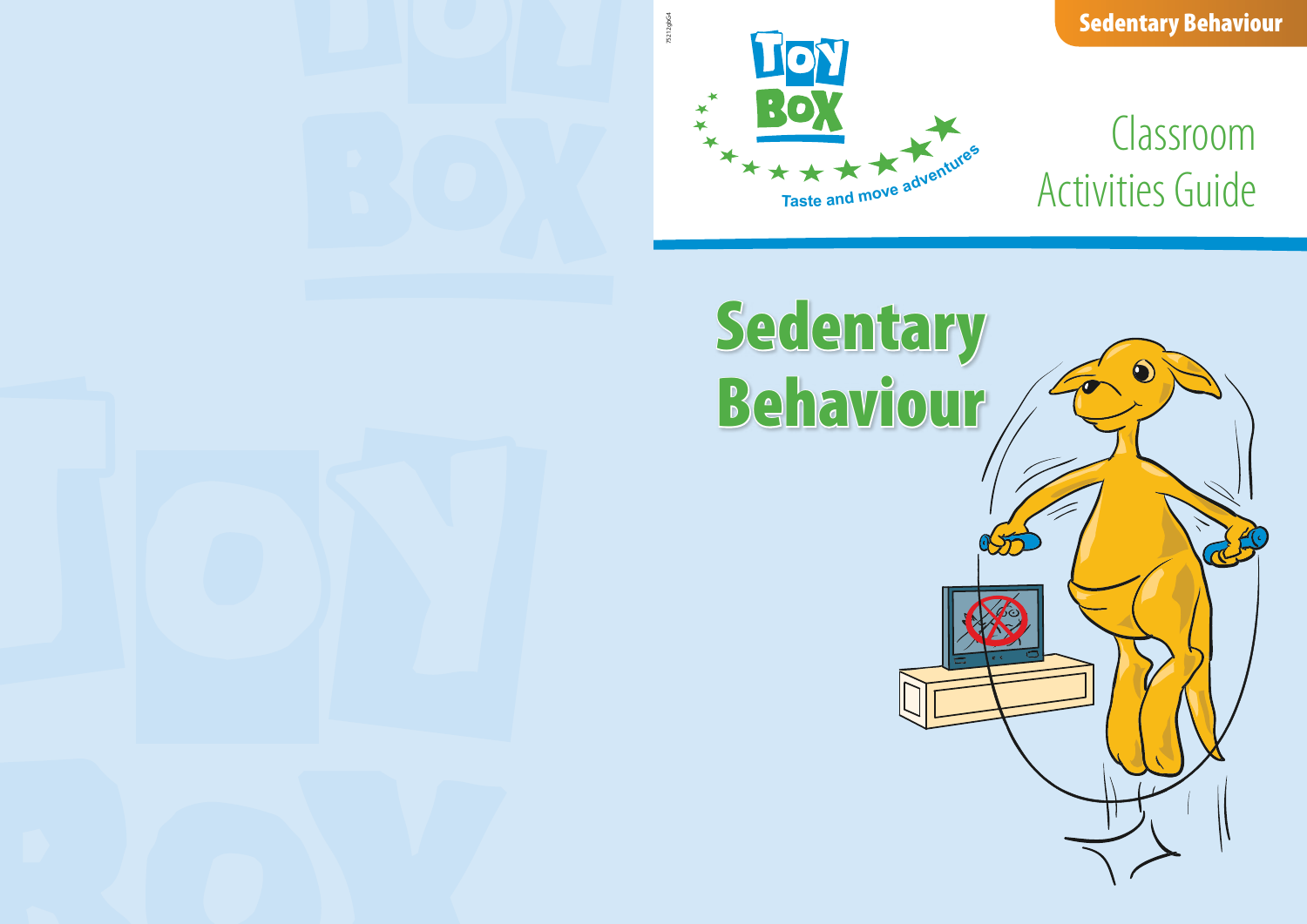# Classroom **Activities Guide**

Sedentary Behaviour



# Sedentary Behaviour